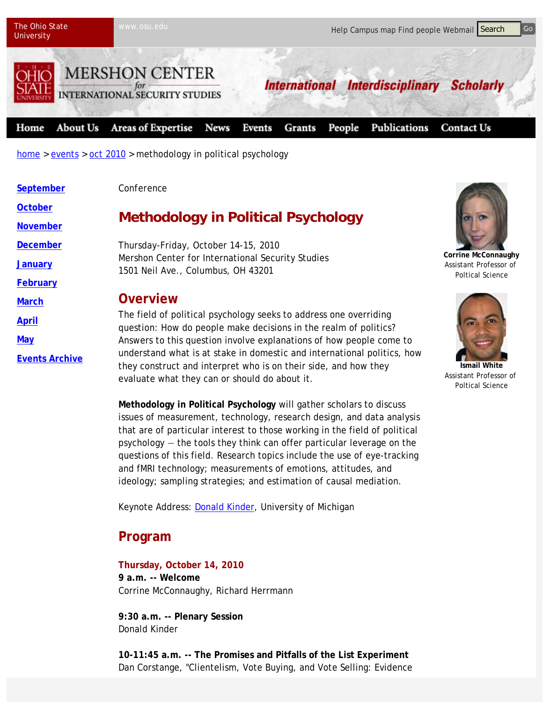

home > events > oct 2010 > methodology in political psychology

| September             | Conference                                                                                                                                                                                  |                                                                                 |
|-----------------------|---------------------------------------------------------------------------------------------------------------------------------------------------------------------------------------------|---------------------------------------------------------------------------------|
| <b>October</b>        | <b>Methodology in Political Psychology</b>                                                                                                                                                  |                                                                                 |
| <b>November</b>       |                                                                                                                                                                                             |                                                                                 |
| <b>December</b>       | Thursday-Friday, October 14-15, 2010<br>Mershon Center for International Security Studies<br>1501 Neil Ave., Columbus, OH 43201                                                             |                                                                                 |
| <b>January</b>        |                                                                                                                                                                                             | <b>Corrine McConnaughy</b><br>Assistant Professor of<br><b>Poltical Science</b> |
| February              |                                                                                                                                                                                             |                                                                                 |
| <b>March</b>          | <b>Overview</b>                                                                                                                                                                             |                                                                                 |
| <b>April</b>          | The field of political psychology seeks to address one overriding<br>question: How do people make decisions in the realm of politics?                                                       |                                                                                 |
| <b>May</b>            | Answers to this question involve explanations of how people come to                                                                                                                         |                                                                                 |
| <b>Events Archive</b> | understand what is at stake in domestic and international politics, how<br>they construct and interpret who is on their side, and how they<br>evaluate what they can or should do about it. | <b>Ismail White</b><br>Assistant Professor of<br>Poltical Science               |

**Methodology in Political Psychology** will gather scholars to discuss issues of measurement, technology, research design, and data analysis that are of particular interest to those working in the field of political psychology — the tools they think can offer particular leverage on the questions of this field. Research topics include the use of eye-tracking and fMRI technology; measurements of emotions, attitudes, and ideology; sampling strategies; and estimation of causal mediation.

Keynote Address: Donald Kinder, University of Michigan

## **Program**

**Thursday, October 14, 2010 9 a.m. -- Welcome** Corrine McConnaughy, Richard Herrmann

**9:30 a.m. -- Plenary Session** Donald Kinder

**10-11:45 a.m. -- The Promises and Pitfalls of the List Experiment** Dan Corstange, "Clientelism, Vote Buying, and Vote Selling: Evidence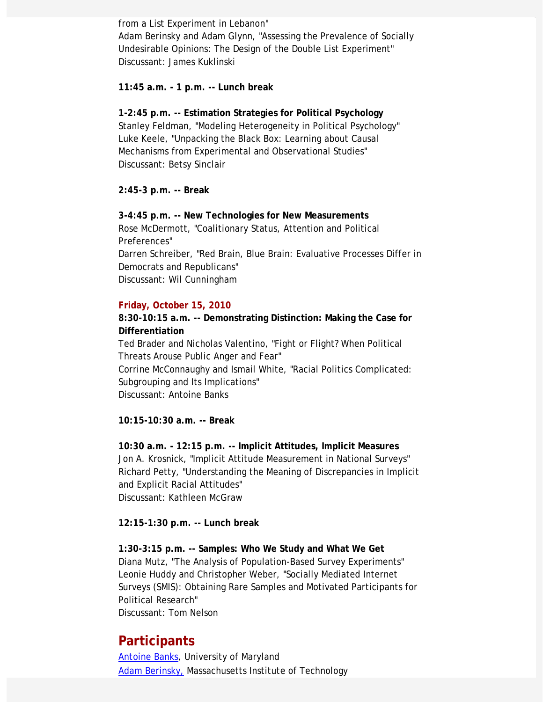from a List Experiment in Lebanon" Adam Berinsky and Adam Glynn, "Assessing the Prevalence of Socially Undesirable Opinions: The Design of the Double List Experiment" Discussant: James Kuklinski

**11:45 a.m. - 1 p.m. -- Lunch break**

**1-2:45 p.m. -- Estimation Strategies for Political Psychology** Stanley Feldman, "Modeling Heterogeneity in Political Psychology" Luke Keele, "Unpacking the Black Box: Learning about Causal Mechanisms from Experimental and Observational Studies" Discussant: Betsy Sinclair

**2:45-3 p.m. -- Break**

**3-4:45 p.m. -- New Technologies for New Measurements** Rose McDermott, "Coalitionary Status, Attention and Political Preferences" Darren Schreiber, "Red Brain, Blue Brain: Evaluative Processes Differ in Democrats and Republicans" Discussant: Wil Cunningham

## **Friday, October 15, 2010**

**8:30-10:15 a.m. -- Demonstrating Distinction: Making the Case for Differentiation**

Ted Brader and Nicholas Valentino, "Fight or Flight? When Political Threats Arouse Public Anger and Fear" Corrine McConnaughy and Ismail White, "Racial Politics Complicated: Subgrouping and Its Implications" Discussant: Antoine Banks

**10:15-10:30 a.m. -- Break**

**10:30 a.m. - 12:15 p.m. -- Implicit Attitudes, Implicit Measures** Jon A. Krosnick, "Implicit Attitude Measurement in National Surveys" Richard Petty, "Understanding the Meaning of Discrepancies in Implicit and Explicit Racial Attitudes" Discussant: Kathleen McGraw

**12:15-1:30 p.m. -- Lunch break**

**1:30-3:15 p.m. -- Samples: Who We Study and What We Get** Diana Mutz, "The Analysis of Population-Based Survey Experiments" Leonie Huddy and Christopher Weber, "Socially Mediated Internet Surveys (SMIS): Obtaining Rare Samples and Motivated Participants for Political Research" Discussant: Tom Nelson

## **Participants**

Antoine Banks, University of Maryland Adam Berinsky, Massachusetts Institute of Technology